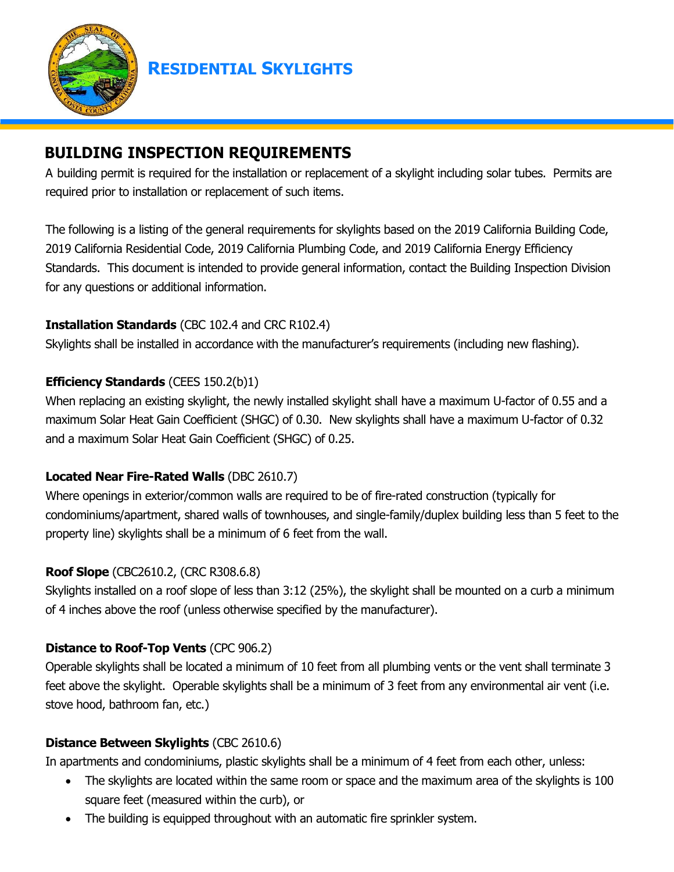

**RESIDENTIAL SKYLIGHTS**

# **BUILDING INSPECTION REQUIREMENTS**

A building permit is required for the installation or replacement of a skylight including solar tubes. Permits are required prior to installation or replacement of such items.

The following is a listing of the general requirements for skylights based on the 2019 California Building Code, 2019 California Residential Code, 2019 California Plumbing Code, and 2019 California Energy Efficiency Standards. This document is intended to provide general information, contact the Building Inspection Division for any questions or additional information.

### **Installation Standards** (CBC 102.4 and CRC R102.4)

Skylights shall be installed in accordance with the manufacturer's requirements (including new flashing).

### **Efficiency Standards** (CEES 150.2(b)1)

When replacing an existing skylight, the newly installed skylight shall have a maximum U-factor of 0.55 and a maximum Solar Heat Gain Coefficient (SHGC) of 0.30. New skylights shall have a maximum U-factor of 0.32 and a maximum Solar Heat Gain Coefficient (SHGC) of 0.25.

### **Located Near Fire-Rated Walls** (DBC 2610.7)

Where openings in exterior/common walls are required to be of fire-rated construction (typically for condominiums/apartment, shared walls of townhouses, and single-family/duplex building less than 5 feet to the property line) skylights shall be a minimum of 6 feet from the wall.

### **Roof Slope** (CBC2610.2, (CRC R308.6.8)

Skylights installed on a roof slope of less than 3:12 (25%), the skylight shall be mounted on a curb a minimum of 4 inches above the roof (unless otherwise specified by the manufacturer).

# **Distance to Roof-Top Vents** (CPC 906.2)

Operable skylights shall be located a minimum of 10 feet from all plumbing vents or the vent shall terminate 3 feet above the skylight. Operable skylights shall be a minimum of 3 feet from any environmental air vent (i.e. stove hood, bathroom fan, etc.)

### **Distance Between Skylights** (CBC 2610.6)

In apartments and condominiums, plastic skylights shall be a minimum of 4 feet from each other, unless:

- The skylights are located within the same room or space and the maximum area of the skylights is 100 square feet (measured within the curb), or
- The building is equipped throughout with an automatic fire sprinkler system.